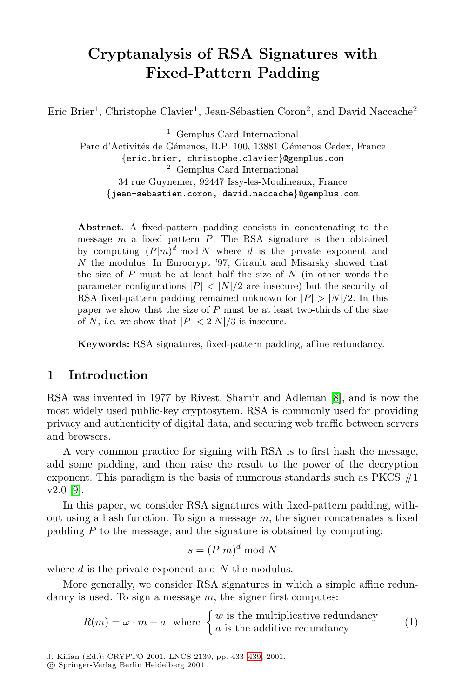# **Cryptanalysis of RSA Signatures with Fixed-Pattern Padding**

Eric Brier<sup>1</sup>, Christophe Clavier<sup>1</sup>, Jean-Sébastien Coron<sup>2</sup>, and David Naccache<sup>2</sup>

 $^{\rm 1}$  Gemplus Card International Parc d'Activités de Gémenos, B.P. 100, 13881 Gémenos Cedex, France {eric.brier, christophe.clavier}@gemplus.com <sup>2</sup> Gemplus Card International 34 rue Guynemer, 92447 Issy-les-Moulineaux, France {jean-sebastien.coron, david.naccache}@gemplus.com

**Abstract.** A fixed-pattern padding consists in concatenating to the message  $m$  a fixed pattern  $P$ . The RSA signature is then obtained by computing  $(P|m)^d \mod N$  where d is the private exponent and  $N$  the modulus. In Eurocrypt '97, Girault and Misarsky showed that the size of  $P$  must be at least half the size of  $N$  (in other words the parameter configurations  $|P| < |N|/2$  are insecure) but the security of RSA fixed-pattern padding remained unknown for  $|P| > |N|/2$ . In this paper we show that the size of  $P$  must be at least two-thirds of the size of N, i.e. we show that  $|P| < 2|N|/3$  is insecure.

**Keywords:** RSA signatures, fixed-pattern padding, affine redundancy.

### **1 Introduction**

RSA was invented in 1977 by Rivest, Shamir and Adleman [8], and is now the most widely used public-key cryptosytem. RSA is commonly used for providing privacy and authenticity of digital data, and securing web traffic between servers and browsers.

A very common practice for signing with RSA is to first hash the message, add some padding, and then raise the result to the power of the decryption exponent. This paradigm is the basis of numerous standards such as  $PKCS \#1$ v2.0 [9].

In this paper, we consider RSA signatures with fixed-pattern padding, without using a hash function. To sign a message  $m$ , the signer concatenates a fixed padding  $P$  to the message, and the signature is obtained by computing:

$$
s = (P|m)^d \bmod N
$$

where  $d$  is the private exponent and  $N$  the modulus.

More generally, we consider RSA signatures in which a simple affine redundancy is used. To sign a message  $m$ , the signer first computes:

$$
R(m) = \omega \cdot m + a \quad \text{where} \quad \begin{cases} w \text{ is the multiplicative redundancy} \\ a \text{ is the additive redundancy} \end{cases} \tag{1}
$$

J. Kilian (Ed.): CRYPTO 2001, LNCS 2139, pp. 433–439, 2001. c Springer-Verlag Berlin Heidelberg 2001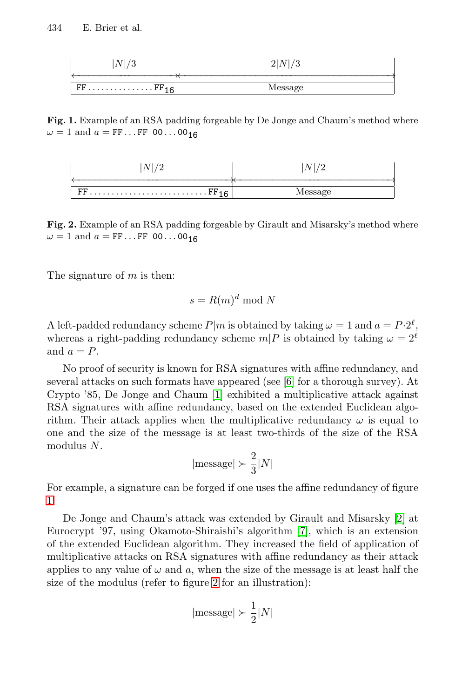| <b>.</b>                    |          |
|-----------------------------|----------|
|                             |          |
| FF<br>$\cdot$ Fr $_{\circ}$ | witadagt |

**Fig. 1.** Example of an RSA padding forgeable by De Jonge and Chaum's method where  $\omega = 1$  and  $a = FF \dots FF$  00...00<sub>16</sub>

| <i>viessage</i> |
|-----------------|

**Fig. 2.** Example of an RSA padding forgeable by Girault and Misarsky's method where  $\omega = 1$  and  $a = FF \dots FF$  00...00<sub>16</sub>

The signature of  $m$  is then:

$$
s = R(m)^d \bmod N
$$

A left-padded redundancy scheme  $P|m$  is obtained by taking  $\omega = 1$  and  $a = P \cdot 2^{\ell}$ , whereas a right-padding redundancy scheme  $m|P$  is obtained by taking  $\omega = 2^{\ell}$ and  $a = P$ .

No proof of security is known for RSA signatures with affine redundancy, and several attacks on such formats have appeared (see [\[6\]](#page-5-0) for a thorough survey). At Crypto '85, De Jonge and Chaum [\[1\]](#page-5-0) exhibited a multiplicative attack against RSA signatures with affine redundancy, based on the extended Euclidean algorithm. Their attack applies when the multiplicative redundancy  $\omega$  is equal to one and the size of the message is at least two-thirds of the size of the RSA modulus N.

$$
|\mathrm{message}|\succ \frac{2}{3}|N|
$$

For example, a signature can be forged if one uses the affine redundancy of figure 1.

De Jonge and Chaum's attack was extended by Girault and Misarsky [\[2\]](#page-5-0) at Eurocrypt '97, using Okamoto-Shiraishi's algorithm [\[7\]](#page-5-0), which is an extension of the extended Euclidean algorithm. They increased the field of application of multiplicative attacks on RSA signatures with affine redundancy as their attack applies to any value of  $\omega$  and a, when the size of the message is at least half the size of the modulus (refer to figure 2 for an illustration):

$$
|\mathrm{message}|\succ \frac{1}{2}|N|
$$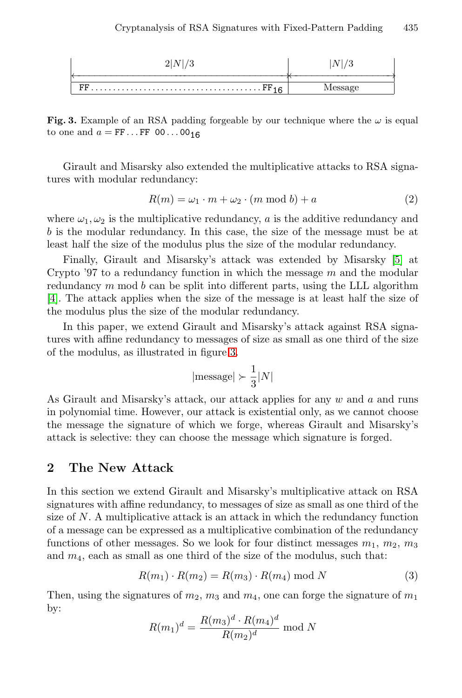<span id="page-2-0"></span>

**Fig. 3.** Example of an RSA padding forgeable by our technique where the  $\omega$  is equal to one and  $a = FF \dots FF 00 \dots 00_{16}$ 

Girault and Misarsky also extended the multiplicative attacks to RSA signatures with modular redundancy:

$$
R(m) = \omega_1 \cdot m + \omega_2 \cdot (m \mod b) + a \tag{2}
$$

where  $\omega_1, \omega_2$  is the multiplicative redundancy, a is the additive redundancy and b is the modular redundancy. In this case, the size of the message must be at least half the size of the modulus plus the size of the modular redundancy.

Finally, Girault and Misarsky's attack was extended by Misarsky [\[5\]](#page-5-0) at Crypto '97 to a redundancy function in which the message  $m$  and the modular redundancy  $m \mod b$  can be split into different parts, using the LLL algorithm [\[4\]](#page-5-0). The attack applies when the size of the message is at least half the size of the modulus plus the size of the modular redundancy.

In this paper, we extend Girault and Misarsky's attack against RSA signatures with affine redundancy to messages of size as small as one third of the size of the modulus, as illustrated in figure 3.

$$
|\mathrm{message}|\succ \frac{1}{3}|N|
$$

As Girault and Misarsky's attack, our attack applies for any w and a and runs in polynomial time. However, our attack is existential only, as we cannot choose the message the signature of which we forge, whereas Girault and Misarsky's attack is selective: they can choose the message which signature is forged.

#### **2 The New Attack**

In this section we extend Girault and Misarsky's multiplicative attack on RSA signatures with affine redundancy, to messages of size as small as one third of the size of  $N$ . A multiplicative attack is an attack in which the redundancy function of a message can be expressed as a multiplicative combination of the redundancy functions of other messages. So we look for four distinct messages  $m_1$ ,  $m_2$ ,  $m_3$ and  $m_4$ , each as small as one third of the size of the modulus, such that:

$$
R(m_1) \cdot R(m_2) = R(m_3) \cdot R(m_4) \bmod N \tag{3}
$$

Then, using the signatures of  $m_2$ ,  $m_3$  and  $m_4$ , one can forge the signature of  $m_1$ by:

$$
R(m_1)^d = \frac{R(m_3)^d \cdot R(m_4)^d}{R(m_2)^d} \mod N
$$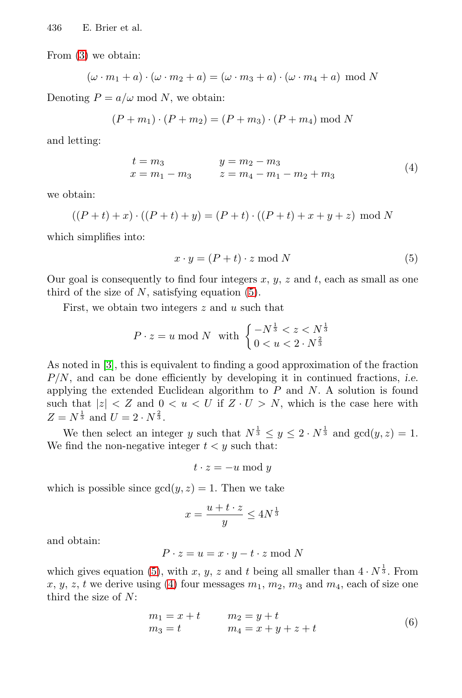<span id="page-3-0"></span>From [\(3\)](#page-2-0) we obtain:

$$
(\omega \cdot m_1 + a) \cdot (\omega \cdot m_2 + a) = (\omega \cdot m_3 + a) \cdot (\omega \cdot m_4 + a) \mod N
$$

Denoting  $P = a/\omega \mod N$ , we obtain:

$$
(P + m_1) \cdot (P + m_2) = (P + m_3) \cdot (P + m_4) \mod N
$$

and letting:

$$
t = m_3 \t y = m_2 - m_3
$$
  
\n
$$
x = m_1 - m_3 \t z = m_4 - m_1 - m_2 + m_3
$$
\n(4)

we obtain:

$$
((P+t)+x)\cdot ((P+t)+y) = (P+t)\cdot ((P+t)+x+y+z) \mod N
$$

which simplifies into:

$$
x \cdot y = (P + t) \cdot z \bmod N \tag{5}
$$

Our goal is consequently to find four integers  $x, y, z$  and  $t$ , each as small as one third of the size of  $N$ , satisfying equation  $(5)$ .

First, we obtain two integers  $z$  and  $u$  such that

$$
P \cdot z = u \bmod N \text{ with } \begin{cases} -N^{\frac{1}{3}} < z < N^{\frac{1}{3}} \\ 0 < u < 2 \cdot N^{\frac{2}{3}} \end{cases}
$$

As noted in [\[3\]](#page-5-0), this is equivalent to finding a good approximation of the fraction  $P/N$ , and can be done efficiently by developing it in continued fractions, *i.e.* applying the extended Euclidean algorithm to  $P$  and  $N$ . A solution is found such that  $|z| < Z$  and  $0 < u < U$  if  $Z \cdot U > N$ , which is the case here with  $Z = N^{\frac{1}{3}}$  and  $U = 2 \cdot N^{\frac{2}{3}}$ .

We then select an integer y such that  $N^{\frac{1}{3}} \leq y \leq 2 \cdot N^{\frac{1}{3}}$  and  $gcd(y, z) = 1$ . We find the non-negative integer  $t < y$  such that:

$$
t \cdot z = -u \bmod y
$$

which is possible since  $gcd(y, z) = 1$ . Then we take

$$
x = \frac{u + t \cdot z}{y} \le 4N^{\frac{1}{3}}
$$

and obtain:

$$
P \cdot z = u = x \cdot y - t \cdot z \bmod N
$$

which gives equation (5), with x, y, z and t being all smaller than  $4 \cdot N^{\frac{1}{3}}$ . From x, y, z, t we derive using (4) four messages  $m_1$ ,  $m_2$ ,  $m_3$  and  $m_4$ , each of size one third the size of N:

$$
m_1 = x + t \t m_2 = y + tm_3 = t \t m_4 = x + y + z + t
$$
 (6)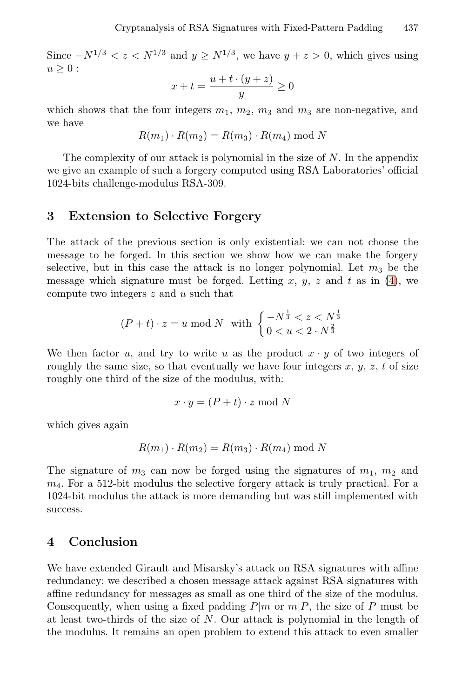Since  $-N^{1/3} < z < N^{1/3}$  and  $y \ge N^{1/3}$ , we have  $y + z > 0$ , which gives using  $u \geq 0$ :

$$
x + t = \frac{u + t \cdot (y + z)}{y} \ge 0
$$

which shows that the four integers  $m_1$ ,  $m_2$ ,  $m_3$  and  $m_3$  are non-negative, and we have

$$
R(m_1) \cdot R(m_2) = R(m_3) \cdot R(m_4) \bmod N
$$

The complexity of our attack is polynomial in the size of N. In the appendix we give an example of such a forgery computed using RSA Laboratories' official 1024-bits challenge-modulus RSA-309.

#### **3 Extension to Selective Forgery**

The attack of the previous section is only existential: we can not choose the message to be forged. In this section we show how we can make the forgery selective, but in this case the attack is no longer polynomial. Let  $m_3$  be the message which signature must be forged. Letting  $x, y, z$  and  $t$  as in [\(4\)](#page-3-0), we compute two integers z and u such that

$$
(P + t) \cdot z = u \bmod N \quad \text{with} \quad \begin{cases} -N^{\frac{1}{3}} < z < N^{\frac{1}{3}} \\ 0 < u < 2 \cdot N^{\frac{2}{3}} \end{cases}
$$

We then factor u, and try to write u as the product  $x \cdot y$  of two integers of roughly the same size, so that eventually we have four integers  $x, y, z, t$  of size roughly one third of the size of the modulus, with:

$$
x \cdot y = (P + t) \cdot z \bmod N
$$

which gives again

$$
R(m_1) \cdot R(m_2) = R(m_3) \cdot R(m_4) \bmod N
$$

The signature of  $m_3$  can now be forged using the signatures of  $m_1$ ,  $m_2$  and  $m<sub>4</sub>$ . For a 512-bit modulus the selective forgery attack is truly practical. For a 1024-bit modulus the attack is more demanding but was still implemented with success.

#### **4 Conclusion**

We have extended Girault and Misarsky's attack on RSA signatures with affine redundancy: we described a chosen message attack against RSA signatures with affine redundancy for messages as small as one third of the size of the modulus. Consequently, when using a fixed padding  $P|m$  or  $m|P$ , the size of P must be at least two-thirds of the size of  $N$ . Our attack is polynomial in the length of the modulus. It remains an open problem to extend this attack to even smaller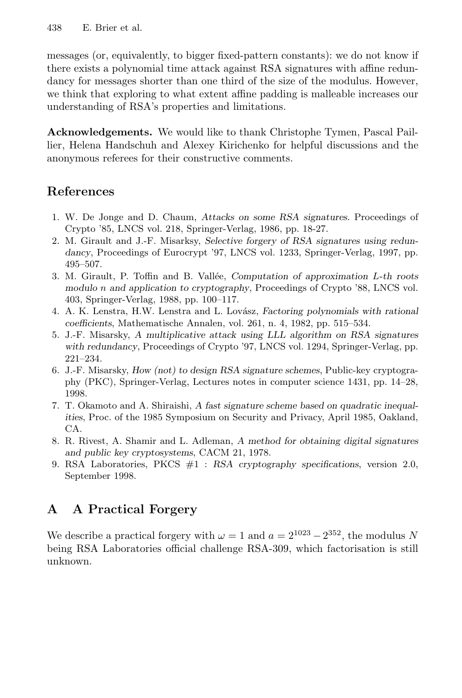<span id="page-5-0"></span>messages (or, equivalently, to bigger fixed-pattern constants): we do not know if there exists a polynomial time attack against RSA signatures with affine redundancy for messages shorter than one third of the size of the modulus. However, we think that exploring to what extent affine padding is malleable increases our understanding of RSA's properties and limitations.

**Acknowledgements.** We would like to thank Christophe Tymen, Pascal Paillier, Helena Handschuh and Alexey Kirichenko for helpful discussions and the anonymous referees for their constructive comments.

### **References**

- 1. W. De Jonge and D. Chaum, Attacks on some RSA signatures. Proceedings of Crypto '85, LNCS vol. 218, Springer-Verlag, 1986, pp. 18-27.
- 2. M. Girault and J.-F. Misarksy, Selective forgery of RSA signatures using redundancy, Proceedings of Eurocrypt '97, LNCS vol. 1233, Springer-Verlag, 1997, pp. 495–507.
- 3. M. Girault, P. Toffin and B. Vallée, Computation of approximation  $L$ -th roots modulo n and application to cryptography, Proceedings of Crypto '88, LNCS vol. 403, Springer-Verlag, 1988, pp. 100–117.
- 4. A. K. Lenstra, H.W. Lenstra and L. Lovász, Factoring polynomials with rational coefficients, Mathematische Annalen, vol. 261, n. 4, 1982, pp. 515–534.
- 5. J.-F. Misarsky, A multiplicative attack using LLL algorithm on RSA signatures with redundancy, Proceedings of Crypto '97, LNCS vol. 1294, Springer-Verlag, pp. 221–234.
- 6. J.-F. Misarsky, How (not) to design RSA signature schemes, Public-key cryptography (PKC), Springer-Verlag, Lectures notes in computer science 1431, pp. 14–28, 1998.
- 7. T. Okamoto and A. Shiraishi, A fast signature scheme based on quadratic inequalities, Proc. of the 1985 Symposium on Security and Privacy, April 1985, Oakland, CA.
- 8. R. Rivest, A. Shamir and L. Adleman, A method for obtaining digital signatures and public key cryptosystems, CACM 21, 1978.
- 9. RSA Laboratories, PKCS #1 : RSA cryptography specifications, version 2.0, September 1998.

## **A A Practical Forgery**

We describe a practical forgery with  $\omega = 1$  and  $a = 2^{1023} - 2^{352}$ , the modulus N being RSA Laboratories official challenge RSA-309, which factorisation is still unknown.